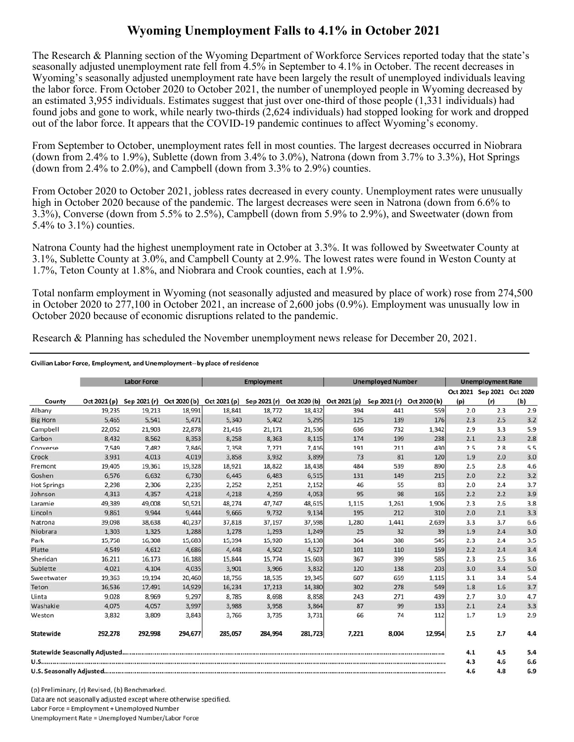## **Wyoming Unemployment Falls to 4.1% in October 2021**

The Research & Planning section of the Wyoming Department of Workforce Services reported today that the state's seasonally adjusted unemployment rate fell from 4.5% in September to 4.1% in October. The recent decreases in Wyoming's seasonally adjusted unemployment rate have been largely the result of unemployed individuals leaving the labor force. From October 2020 to October 2021, the number of unemployed people in Wyoming decreased by an estimated 3,955 individuals. Estimates suggest that just over one-third of those people (1,331 individuals) had found jobs and gone to work, while nearly two-thirds (2,624 individuals) had stopped looking for work and dropped out of the labor force. It appears that the COVID-19 pandemic continues to affect Wyoming's economy.

From September to October, unemployment rates fell in most counties. The largest decreases occurred in Niobrara (down from 2.4% to 1.9%), Sublette (down from 3.4% to 3.0%), Natrona (down from 3.7% to 3.3%), Hot Springs (down from 2.4% to 2.0%), and Campbell (down from 3.3% to 2.9%) counties.

From October 2020 to October 2021, jobless rates decreased in every county. Unemployment rates were unusually high in October 2020 because of the pandemic. The largest decreases were seen in Natrona (down from 6.6% to 3.3%), Converse (down from 5.5% to 2.5%), Campbell (down from 5.9% to 2.9%), and Sweetwater (down from 5.4% to 3.1%) counties.

Natrona County had the highest unemployment rate in October at 3.3%. It was followed by Sweetwater County at 3.1%, Sublette County at 3.0%, and Campbell County at 2.9%. The lowest rates were found in Weston County at 1.7%, Teton County at 1.8%, and Niobrara and Crook counties, each at 1.9%.

Total nonfarm employment in Wyoming (not seasonally adjusted and measured by place of work) rose from 274,500 in October 2020 to 277,100 in October 2021, an increase of 2,600 jobs (0.9%). Employment was unusually low in October 2020 because of economic disruptions related to the pandemic.

Research & Planning has scheduled the November unemployment news release for December 20, 2021.

## Civilian Labor Force, Employment, and Unemployment--by place of residence

|                    |              | <b>Labor Force</b> |              |              | <b>Employment</b> |                           |              | <b>Unemployed Number</b> |              |     | <b>Unemployment Rate</b>   |     |
|--------------------|--------------|--------------------|--------------|--------------|-------------------|---------------------------|--------------|--------------------------|--------------|-----|----------------------------|-----|
|                    |              |                    |              |              |                   |                           |              |                          |              |     | Oct 2021 Sep 2021 Oct 2020 |     |
| County             | Oct 2021 (p) | Sep 2021 (r)       | Oct 2020 (b) | Oct 2021 (p) |                   | Sep 2021 (r) Oct 2020 (b) | Oct 2021 (p) | Sep 2021 (r)             | Oct 2020 (b) | (p) | (r)                        | (b) |
| Albany             | 19,235       | 19,213             | 18,991       | 18,841       | 18,772            | 18,432                    | 394          | 441                      | 559          | 2.0 | 2.3                        | 2.9 |
| <b>Big Horn</b>    | 5,465        | 5,541              | 5,471        | 5,340        | 5,402             | 5,295                     | 125          | 139                      | 176          | 2.3 | 2.5                        | 3.2 |
| Campbell           | 22,052       | 21,903             | 22,878       | 21,416       | 21,171            | 21,536                    | 636          | 732                      | 1,342        | 2.9 | 3.3                        | 5.9 |
| Carbon             | 8,432        | 8,562              | 8,353        | 8,258        | 8,363             | 8,115                     | 174          | 199                      | 238          | 2.1 | 2.3                        | 2.8 |
| Converse           | 7,549        | 7,482              | 7,846        | 7,358        | 7,271             | 7,416                     | 191          | 211                      | 430          | 2.5 | 2.8                        | 5.5 |
| Crook              | 3,931        | 4,013              | 4,019        | 3,858        | 3,932             | 3,899                     | 73           | 81                       | 120          | 1.9 | 2.0                        | 3.0 |
| Fremont            | 19,405       | 19,361             | 19,328       | 18,921       | 18,822            | 18,438                    | 484          | 539                      | 890          | 2.5 | 2.8                        | 4.6 |
| Goshen             | 6,576        | 6,632              | 6,730        | 6,445        | 6,483             | 6,515                     | 131          | 149                      | 215          | 2.0 | 2.2                        | 3.2 |
| <b>Hot Springs</b> | 2,298        | 2,306              | 2,235        | 2,252        | 2,251             | 2,152                     | 46           | 55                       | 83           | 2.0 | 2.4                        | 3.7 |
| Johnson            | 4,313        | 4,357              | 4,218        | 4,218        | 4,259             | 4,053                     | 95           | 98                       | 165          | 2.2 | 2.2                        | 3.9 |
| Laramie            | 49,389       | 49,008             | 50,521       | 48,274       | 47,747            | 48,615                    | 1,115        | 1,261                    | 1,906        | 2.3 | 2.6                        | 3.8 |
| Lincoln            | 9,861        | 9,944              | 9,444        | 9,666        | 9,732             | 9.134                     | 195          | 212                      | 310          | 2.0 | 2.1                        | 3.3 |
| Natrona            | 39,098       | 38,638             | 40,237       | 37,818       | 37,197            | 37,598                    | 1,280        | 1,441                    | 2,639        | 3.3 | 3.7                        | 6.6 |
| Niobrara           | 1,303        | 1,325              | 1,288        | 1,278        | 1,293             | 1,249                     | 25           | 32                       | 39           | 1.9 | 2.4                        | 3.0 |
| Park               | 15,758       | 16,308             | 15,683       | 15,394       | 15,920            | 15,138                    | 364          | 388                      | 545          | 2.3 | 2.4                        | 3.5 |
| Platte             | 4,549        | 4,612              | 4,686        | 4,448        | 4,502             | 4,527                     | 101          | 110                      | 159          | 2.2 | 2.4                        | 3.4 |
| Sheridan           | 16,211       | 16,173             | 16,188       | 15,844       | 15,774            | 15,603                    | 367          | 399                      | 585          | 2.3 | 2.5                        | 3.6 |
| Sublette           | 4,021        | 4,104              | 4,035        | 3,901        | 3,966             | 3,832                     | 120          | 138                      | 203          | 3.0 | 3.4                        | 5.0 |
| Sweetwater         | 19,363       | 19,194             | 20,460       | 18,756       | 18,535            | 19,345                    | 607          | 659                      | 1,115        | 3.1 | 3.4                        | 5.4 |
| Teton              | 16,536       | 17,491             | 14,929       | 16,234       | 17,213            | 14,380                    | 302          | 278                      | 549          | 1.8 | 1.6                        | 3.7 |
| Uinta              | 9,028        | 8,969              | 9,297        | 8,785        | 8,698             | 8,858                     | 243          | 271                      | 439          | 2.7 | 3.0                        | 4.7 |
| Washakie           | 4,075        | 4.057              | 3,997        | 3,988        | 3.958             | 3,864                     | 87           | 99                       | 133          | 2.1 | 2.4                        | 3.3 |
| Weston             | 3,832        | 3,809              | 3,843        | 3,766        | 3,735             | 3,731                     | 66           | 74                       | 112          | 1.7 | 1.9                        | 2.9 |
| Statewide          | 292,278      | 292,998            | 294,677      | 285,057      | 284,994           | 281,723                   | 7,221        | 8,004                    | 12,954       | 2.5 | 2.7                        | 4.4 |
|                    |              |                    |              |              |                   |                           |              |                          |              | 4.1 | 4.5                        | 5.4 |
|                    |              |                    |              |              |                   |                           |              |                          |              | 4.3 | 4.6                        | 6.6 |
|                    |              |                    |              |              |                   |                           | 4.6          | 4.8                      | 6.9          |     |                            |     |

(p) Preliminary, (r) Revised, (b) Benchmarked. Data are not seasonally adjusted except where otherwise specified. Labor Force = Employment + Unemployed Number Unemployment Rate = Unemployed Number/Labor Force